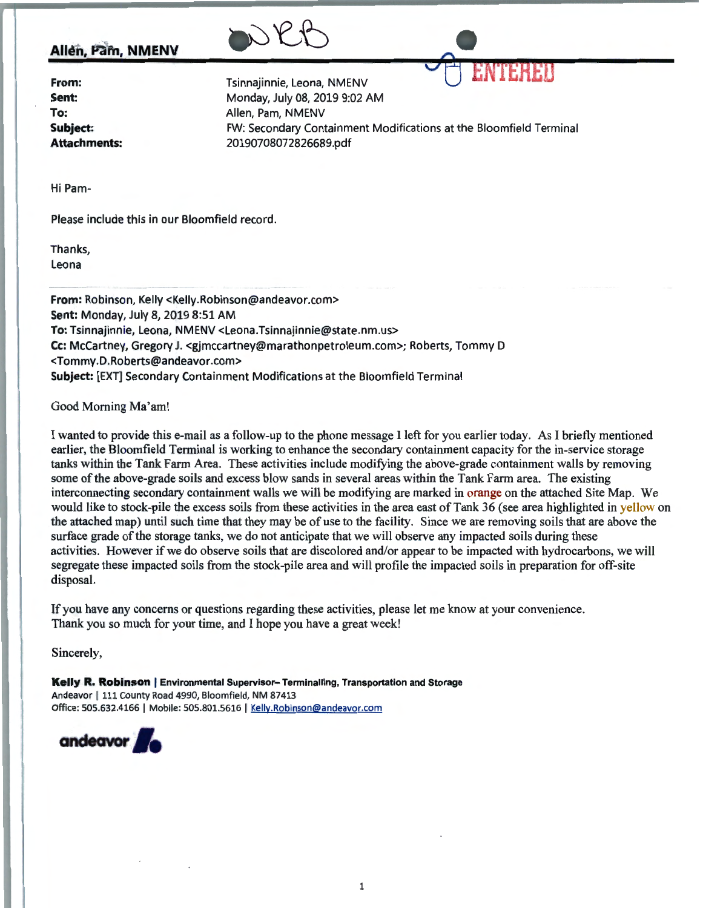

## **Allén, Pam, NMENV**

| From:        |
|--------------|
| Sent:        |
| To:          |
| Subject:     |
| Attachments: |

Tsinnajinnie, Leona, NMENV Monday, July 08, 2019 9:02 AM Allen, Pam, NMENV FW: Secondary Containment Modifications at the Bloomfield Terminal 20190708072826689.pdf

Hi Pam-

Please include this in our Bloomfield record.

Thanks, Leona

**From:** Robinson, Kelly <Kelly.Robinson@andeavor.com> **Sent:** Monday, July 8, 2019 8:51 AM **To:** Tsinnajinnie, Leona, NMENV <Leona.Tsinnajinnie@state.nm.us> **Cc:** McCartney, Gregory J.<gjmccartney@marathonpetroleum.com>; Roberts, Tommy D <Tommy.D.Roberts@andeavor.com> **Subject:** [EXT] Secondary Containment Modifications at the Bloomfield Terminal

Good Morning Ma'am!

I wanted to provide this e-mail as a follow-up to the phone message I left for you earlier today. As I briefly mentioned earlier, the Bloomfield Terminal is working to enhance the secondary containment capacity for the in-service storage tanks within the Tank Farm Area. These activities include modifying the above-grade containment walls by removing some of the above-grade soils and excess blow sands in several areas within the Tank Farm area. The existing interconnecting secondary containment walls we will be modifying are marked in orange on the attached Site Map. We would like to stock-pile the excess soils from these activities in the area east of Tank 36 (see area highlighted in yellow on the attached map) until such time that they may be of use to the facility. Since we are removing soils that are above the surface grade of the storage tanks, we do not anticipate that we will observe any impacted soils during these activities. However if we do observe soils that are discolored and/or appear to be impacted with hydrocarbons, we will segregate these impacted soils from the stock-pile area and will profile the impacted soils in preparation for off-site disposal.

If you have any concerns or questions regarding these activities, please let me know at your convenience. Thank you so much for your time, and I hope you have a great week!

Sincerely,

**Kelly R. Robinson** | Environmental Supervisor- Terminalling, Transportation and Storage Andeavor | 111 County Road 4990, Bloomfield, NM 87413 Office: 505.632.4166 | Mobile: 505.801.5616 | Kelly.Robinson@andeavor.com